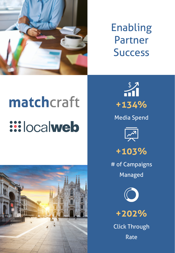

## Enabling Partner **Success**

## matchcraft **Web**





Media Spend





# of Campaigns Managed



**+202%**

Click Through Rate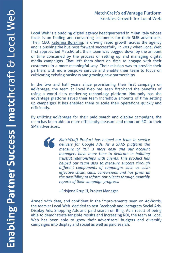## MatchCraft's **ad**Vantage Platform Enables Growth for Local Web

Local Web is a budding digital agency headquartered in Milan Italy whose focus is on [finding](https://www.linkedin.com/in/katerina-bojaxhiu-553b977a/) and converting customers for their SMB advertisers. Their CEO, Katerina Bojaxhiu, is driving rapid growth across the agency and is pushing the business forward successfully. In 2017 when Local Web first approached MatchCraft, their team was bogged down by the amount of time consumed by the process of setting up and managing digital media campaigns. That left them short on time to engage with their customers in a more meaningful way. Their mission was to provide their partners with more bespoke service and enable their team to focus on cultivating existing business and growing new partnerships.

In the two and half years since provisioning their first campaign on **ad**Vantage, the team at Local Web has seen first-hand the benefits of using a world-class marketing technology platform. Not only has the adVantage platform saved their team incredible amounts of time setting up campaigns, it has enabled them to scale their operations quickly and efficiently.

By utilizing adVantage for their paid search and display campaigns, the team has been able to more efficiently measure and report on ROI to their SMB advertisers.



*MatchCraft Product has helped our team in service delivery for Google Ads. As a SAAS platform the measure of ROI is more easy and our account managers have more time to dedicate in building trustful relationships with clients. This product has helped our team also to measure success through different components of campaigns such as costeffective clicks, calls, conversions and has given us the possibility to inform our clients through monthly reports of their campaign progress.*

- Erisjena Rruplli, Project Manager

Armed with data, and confident in the improvements seen on AdWords, the team at Local Web decided to test Facebook and Instagram Social Ads, Display Ads, Shopping Ads and paid search on Bing. As a result of being able to demonstrate tangible results and increasing ROI, the team at Local Web has been able to grow their advertisers' budgets and diversify campaigns into display and social as well as paid search.